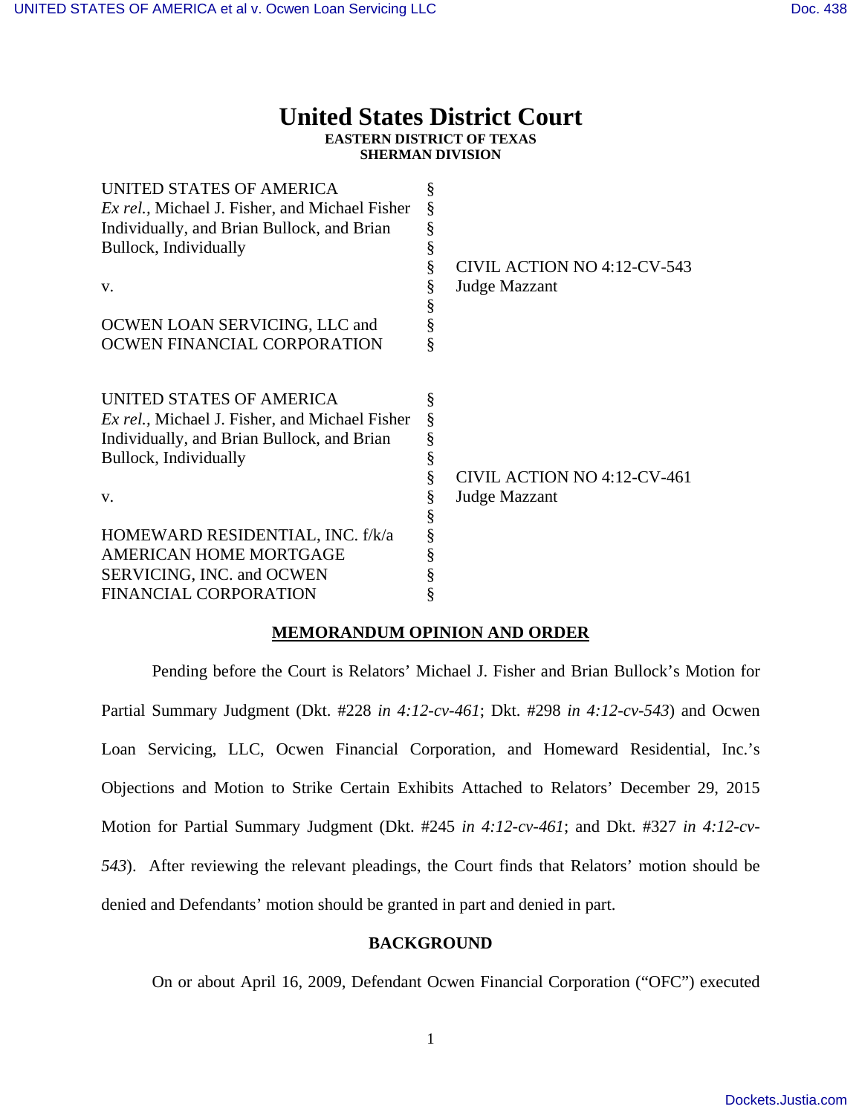# **United States District Court EASTERN DISTRICT OF TEXAS**

**SHERMAN DIVISION** 

| UNITED STATES OF AMERICA                               | § |                             |
|--------------------------------------------------------|---|-----------------------------|
| <i>Ex rel.</i> , Michael J. Fisher, and Michael Fisher |   |                             |
| Individually, and Brian Bullock, and Brian             | ş |                             |
| Bullock, Individually                                  | ş |                             |
|                                                        | § | CIVIL ACTION NO 4:12-CV-543 |
| V.                                                     | § | <b>Judge Mazzant</b>        |
|                                                        |   |                             |
| OCWEN LOAN SERVICING, LLC and                          | ş |                             |
| OCWEN FINANCIAL CORPORATION                            | ş |                             |
| UNITED STATES OF AMERICA                               | § |                             |
| <i>Ex rel.</i> , Michael J. Fisher, and Michael Fisher |   |                             |
| Individually, and Brian Bullock, and Brian             |   |                             |
| Bullock, Individually                                  |   |                             |
|                                                        | § | CIVIL ACTION NO 4:12-CV-461 |
| V.                                                     | § | Judge Mazzant               |
|                                                        | § |                             |
| HOMEWARD RESIDENTIAL, INC. f/k/a                       |   |                             |
| AMERICAN HOME MORTGAGE                                 |   |                             |
| SERVICING, INC. and OCWEN                              |   |                             |
| FINANCIAL CORPORATION                                  |   |                             |

# **MEMORANDUM OPINION AND ORDER**

 Pending before the Court is Relators' Michael J. Fisher and Brian Bullock's Motion for Partial Summary Judgment (Dkt. #228 *in 4:12-cv-461*; Dkt. #298 *in 4:12-cv-543*) and Ocwen Loan Servicing, LLC, Ocwen Financial Corporation, and Homeward Residential, Inc.'s Objections and Motion to Strike Certain Exhibits Attached to Relators' December 29, 2015 Motion for Partial Summary Judgment (Dkt. #245 *in 4:12-cv-461*; and Dkt. #327 *in 4:12-cv-543*). After reviewing the relevant pleadings, the Court finds that Relators' motion should be denied and Defendants' motion should be granted in part and denied in part.

### **BACKGROUND**

On or about April 16, 2009, Defendant Ocwen Financial Corporation ("OFC") executed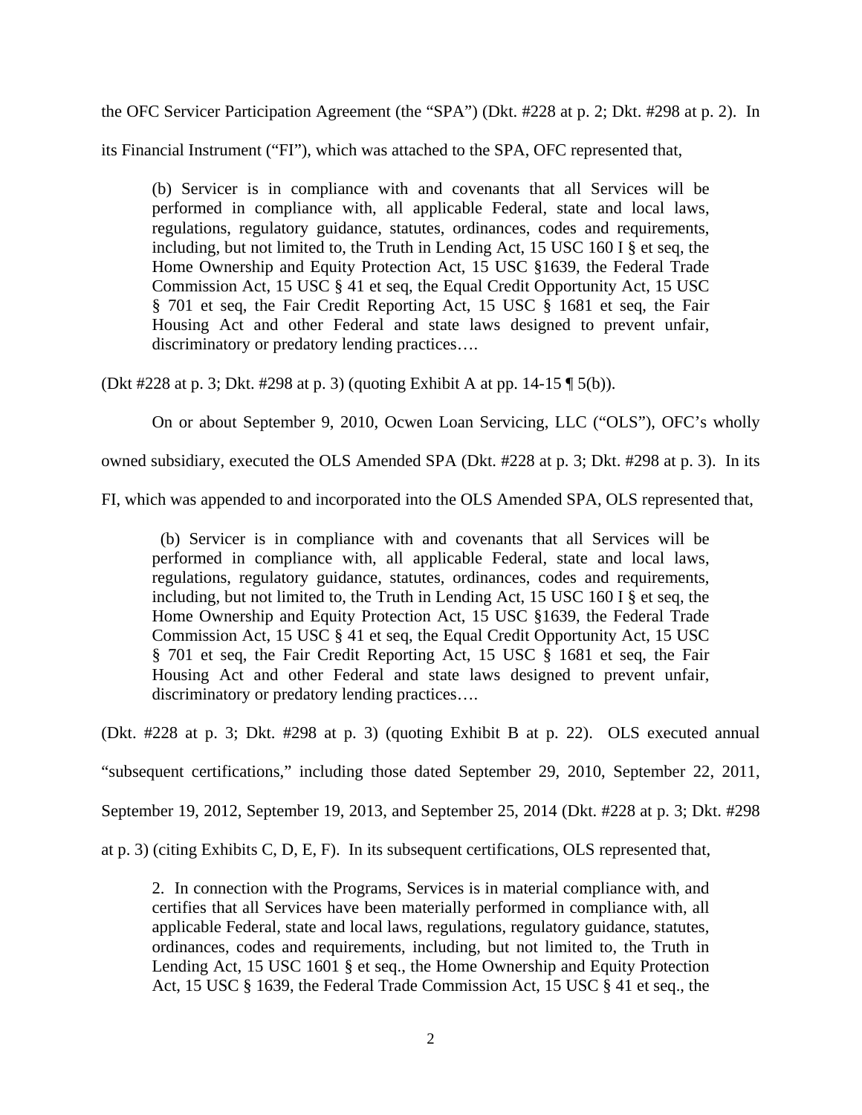the OFC Servicer Participation Agreement (the "SPA") (Dkt. #228 at p. 2; Dkt. #298 at p. 2). In

its Financial Instrument ("FI"), which was attached to the SPA, OFC represented that,

(b) Servicer is in compliance with and covenants that all Services will be performed in compliance with, all applicable Federal, state and local laws, regulations, regulatory guidance, statutes, ordinances, codes and requirements, including, but not limited to, the Truth in Lending Act, 15 USC 160 I § et seq, the Home Ownership and Equity Protection Act, 15 USC §1639, the Federal Trade Commission Act, 15 USC § 41 et seq, the Equal Credit Opportunity Act, 15 USC § 701 et seq, the Fair Credit Reporting Act, 15 USC § 1681 et seq, the Fair Housing Act and other Federal and state laws designed to prevent unfair, discriminatory or predatory lending practices….

(Dkt #228 at p. 3; Dkt. #298 at p. 3) (quoting Exhibit A at pp. 14-15 ¶ 5(b)).

On or about September 9, 2010, Ocwen Loan Servicing, LLC ("OLS"), OFC's wholly

owned subsidiary, executed the OLS Amended SPA (Dkt. #228 at p. 3; Dkt. #298 at p. 3). In its

FI, which was appended to and incorporated into the OLS Amended SPA, OLS represented that,

 (b) Servicer is in compliance with and covenants that all Services will be performed in compliance with, all applicable Federal, state and local laws, regulations, regulatory guidance, statutes, ordinances, codes and requirements, including, but not limited to, the Truth in Lending Act, 15 USC 160 I § et seq, the Home Ownership and Equity Protection Act, 15 USC §1639, the Federal Trade Commission Act, 15 USC § 41 et seq, the Equal Credit Opportunity Act, 15 USC § 701 et seq, the Fair Credit Reporting Act, 15 USC § 1681 et seq, the Fair Housing Act and other Federal and state laws designed to prevent unfair, discriminatory or predatory lending practices….

(Dkt. #228 at p. 3; Dkt. #298 at p. 3) (quoting Exhibit B at p. 22). OLS executed annual

"subsequent certifications," including those dated September 29, 2010, September 22, 2011,

September 19, 2012, September 19, 2013, and September 25, 2014 (Dkt. #228 at p. 3; Dkt. #298

at p. 3) (citing Exhibits C, D, E, F). In its subsequent certifications, OLS represented that,

2. In connection with the Programs, Services is in material compliance with, and certifies that all Services have been materially performed in compliance with, all applicable Federal, state and local laws, regulations, regulatory guidance, statutes, ordinances, codes and requirements, including, but not limited to, the Truth in Lending Act, 15 USC 1601 § et seq., the Home Ownership and Equity Protection Act, 15 USC § 1639, the Federal Trade Commission Act, 15 USC § 41 et seq., the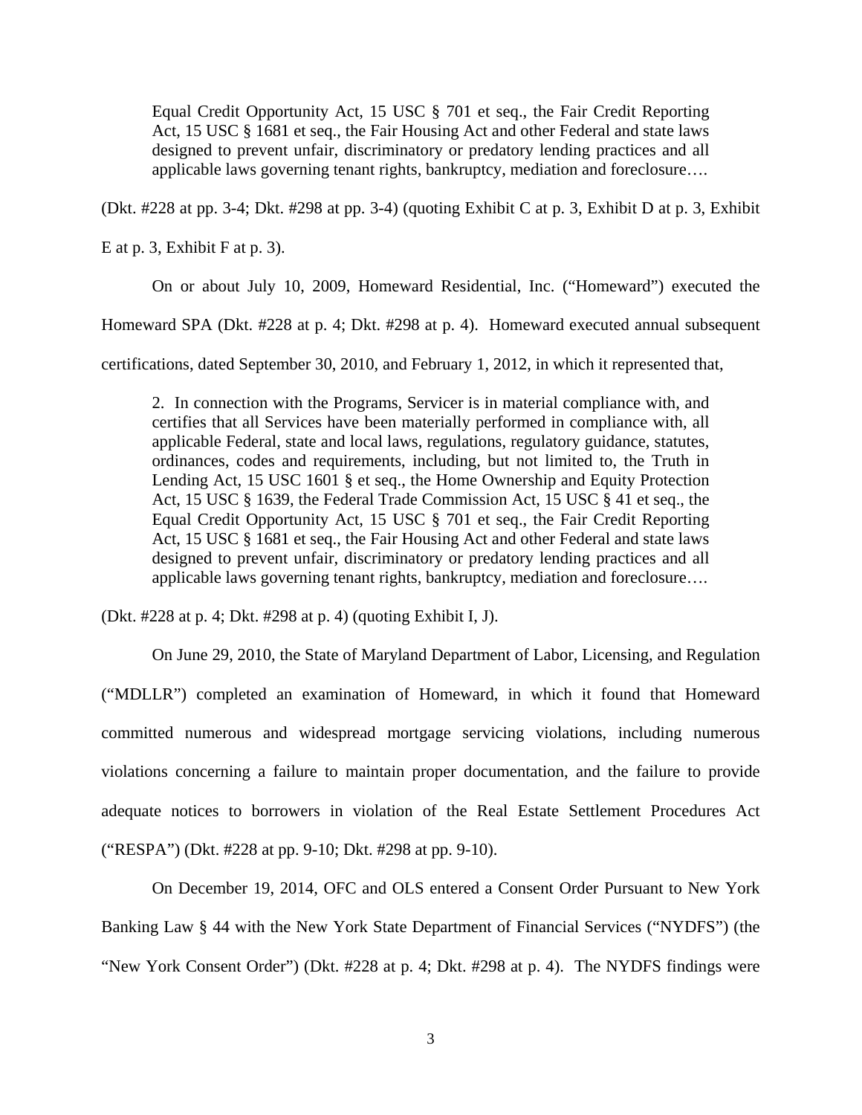Equal Credit Opportunity Act, 15 USC § 701 et seq., the Fair Credit Reporting Act, 15 USC § 1681 et seq., the Fair Housing Act and other Federal and state laws designed to prevent unfair, discriminatory or predatory lending practices and all applicable laws governing tenant rights, bankruptcy, mediation and foreclosure….

(Dkt. #228 at pp. 3-4; Dkt. #298 at pp. 3-4) (quoting Exhibit C at p. 3, Exhibit D at p. 3, Exhibit

E at p. 3, Exhibit F at p. 3).

On or about July 10, 2009, Homeward Residential, Inc. ("Homeward") executed the

Homeward SPA (Dkt. #228 at p. 4; Dkt. #298 at p. 4). Homeward executed annual subsequent

certifications, dated September 30, 2010, and February 1, 2012, in which it represented that,

2. In connection with the Programs, Servicer is in material compliance with, and certifies that all Services have been materially performed in compliance with, all applicable Federal, state and local laws, regulations, regulatory guidance, statutes, ordinances, codes and requirements, including, but not limited to, the Truth in Lending Act, 15 USC 1601 § et seq., the Home Ownership and Equity Protection Act, 15 USC § 1639, the Federal Trade Commission Act, 15 USC § 41 et seq., the Equal Credit Opportunity Act, 15 USC § 701 et seq., the Fair Credit Reporting Act, 15 USC § 1681 et seq., the Fair Housing Act and other Federal and state laws designed to prevent unfair, discriminatory or predatory lending practices and all applicable laws governing tenant rights, bankruptcy, mediation and foreclosure….

(Dkt. #228 at p. 4; Dkt. #298 at p. 4) (quoting Exhibit I, J).

 On June 29, 2010, the State of Maryland Department of Labor, Licensing, and Regulation ("MDLLR") completed an examination of Homeward, in which it found that Homeward committed numerous and widespread mortgage servicing violations, including numerous violations concerning a failure to maintain proper documentation, and the failure to provide adequate notices to borrowers in violation of the Real Estate Settlement Procedures Act ("RESPA") (Dkt. #228 at pp. 9-10; Dkt. #298 at pp. 9-10).

 On December 19, 2014, OFC and OLS entered a Consent Order Pursuant to New York Banking Law § 44 with the New York State Department of Financial Services ("NYDFS") (the "New York Consent Order") (Dkt. #228 at p. 4; Dkt. #298 at p. 4). The NYDFS findings were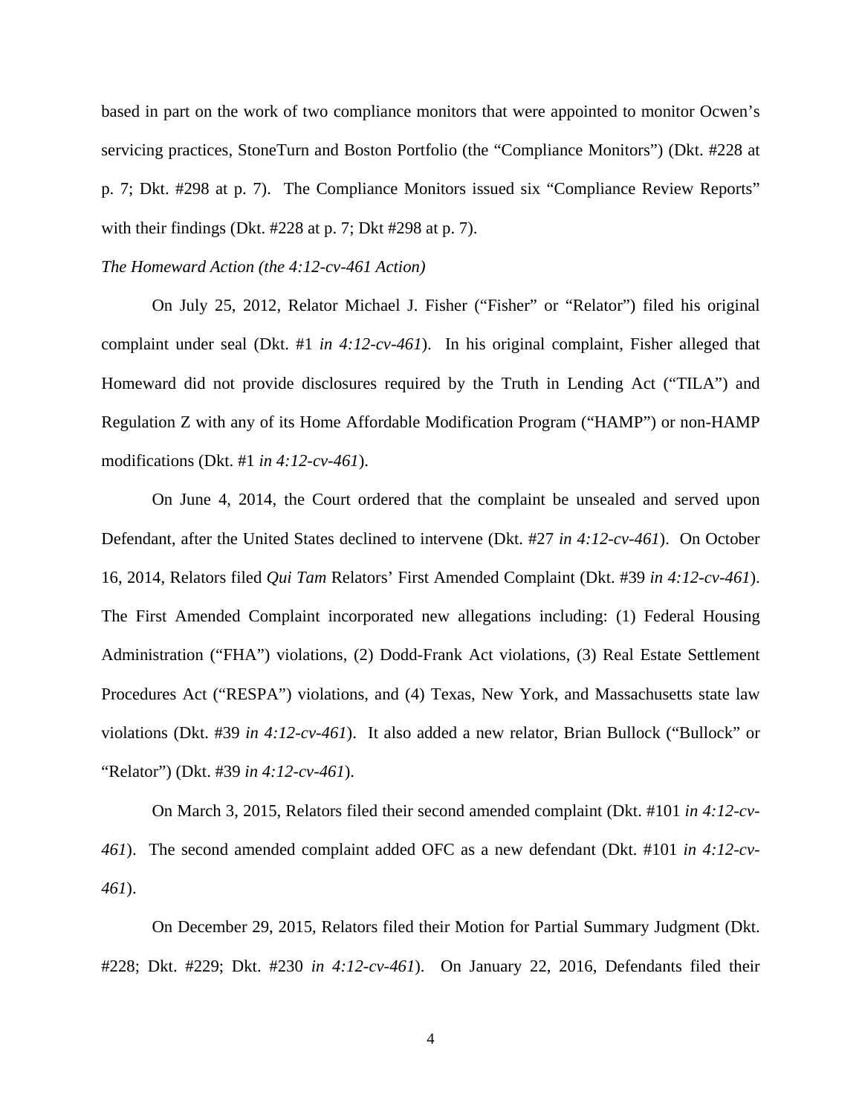based in part on the work of two compliance monitors that were appointed to monitor Ocwen's servicing practices, StoneTurn and Boston Portfolio (the "Compliance Monitors") (Dkt. #228 at p. 7; Dkt. #298 at p. 7). The Compliance Monitors issued six "Compliance Review Reports" with their findings (Dkt. #228 at p. 7; Dkt #298 at p. 7).

#### *The Homeward Action (the 4:12-cv-461 Action)*

On July 25, 2012, Relator Michael J. Fisher ("Fisher" or "Relator") filed his original complaint under seal (Dkt. #1 *in 4:12-cv-461*). In his original complaint, Fisher alleged that Homeward did not provide disclosures required by the Truth in Lending Act ("TILA") and Regulation Z with any of its Home Affordable Modification Program ("HAMP") or non-HAMP modifications (Dkt. #1 *in 4:12-cv-461*).

On June 4, 2014, the Court ordered that the complaint be unsealed and served upon Defendant, after the United States declined to intervene (Dkt. #27 *in 4:12-cv-461*). On October 16, 2014, Relators filed *Qui Tam* Relators' First Amended Complaint (Dkt. #39 *in 4:12-cv-461*). The First Amended Complaint incorporated new allegations including: (1) Federal Housing Administration ("FHA") violations, (2) Dodd-Frank Act violations, (3) Real Estate Settlement Procedures Act ("RESPA") violations, and (4) Texas, New York, and Massachusetts state law violations (Dkt. #39 *in 4:12-cv-461*). It also added a new relator, Brian Bullock ("Bullock" or "Relator") (Dkt. #39 *in 4:12-cv-461*).

On March 3, 2015, Relators filed their second amended complaint (Dkt. #101 *in 4:12-cv-461*). The second amended complaint added OFC as a new defendant (Dkt. #101 *in 4:12-cv-461*).

On December 29, 2015, Relators filed their Motion for Partial Summary Judgment (Dkt. #228; Dkt. #229; Dkt. #230 *in 4:12-cv-461*). On January 22, 2016, Defendants filed their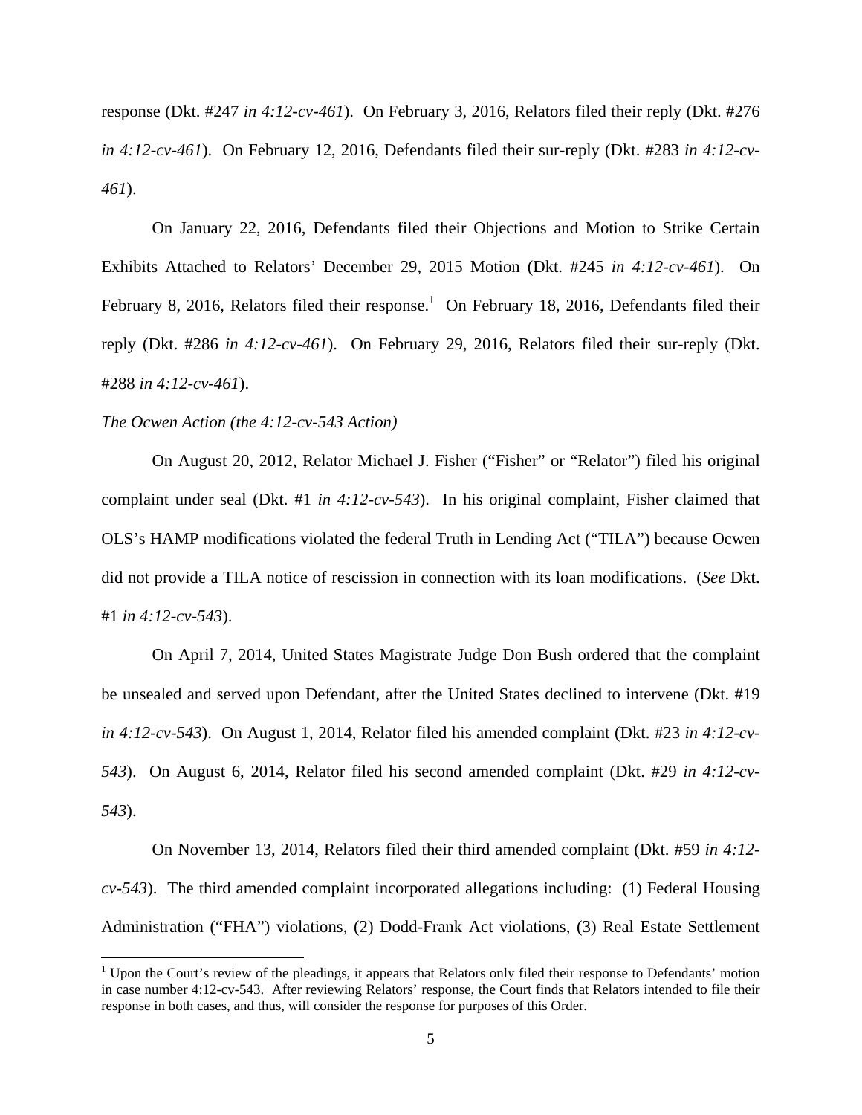response (Dkt. #247 *in 4:12-cv-461*). On February 3, 2016, Relators filed their reply (Dkt. #276 *in 4:12-cv-461*). On February 12, 2016, Defendants filed their sur-reply (Dkt. #283 *in 4:12-cv-461*).

On January 22, 2016, Defendants filed their Objections and Motion to Strike Certain Exhibits Attached to Relators' December 29, 2015 Motion (Dkt. #245 *in 4:12-cv-461*). On February 8, 2016, Relators filed their response.<sup>1</sup> On February 18, 2016, Defendants filed their reply (Dkt. #286 *in 4:12-cv-461*). On February 29, 2016, Relators filed their sur-reply (Dkt. #288 *in 4:12-cv-461*).

#### *The Ocwen Action (the 4:12-cv-543 Action)*

 $\overline{\phantom{0}}$ 

On August 20, 2012, Relator Michael J. Fisher ("Fisher" or "Relator") filed his original complaint under seal (Dkt. #1 *in 4:12-cv-543*). In his original complaint, Fisher claimed that OLS's HAMP modifications violated the federal Truth in Lending Act ("TILA") because Ocwen did not provide a TILA notice of rescission in connection with its loan modifications. (*See* Dkt. #1 *in 4:12-cv-543*).

 On April 7, 2014, United States Magistrate Judge Don Bush ordered that the complaint be unsealed and served upon Defendant, after the United States declined to intervene (Dkt. #19 *in 4:12-cv-543*). On August 1, 2014, Relator filed his amended complaint (Dkt. #23 *in 4:12-cv-543*). On August 6, 2014, Relator filed his second amended complaint (Dkt. #29 *in 4:12-cv-543*).

 On November 13, 2014, Relators filed their third amended complaint (Dkt. #59 *in 4:12 cv-543*). The third amended complaint incorporated allegations including: (1) Federal Housing Administration ("FHA") violations, (2) Dodd-Frank Act violations, (3) Real Estate Settlement

<sup>&</sup>lt;sup>1</sup> Upon the Court's review of the pleadings, it appears that Relators only filed their response to Defendants' motion in case number 4:12-cv-543. After reviewing Relators' response, the Court finds that Relators intended to file their response in both cases, and thus, will consider the response for purposes of this Order.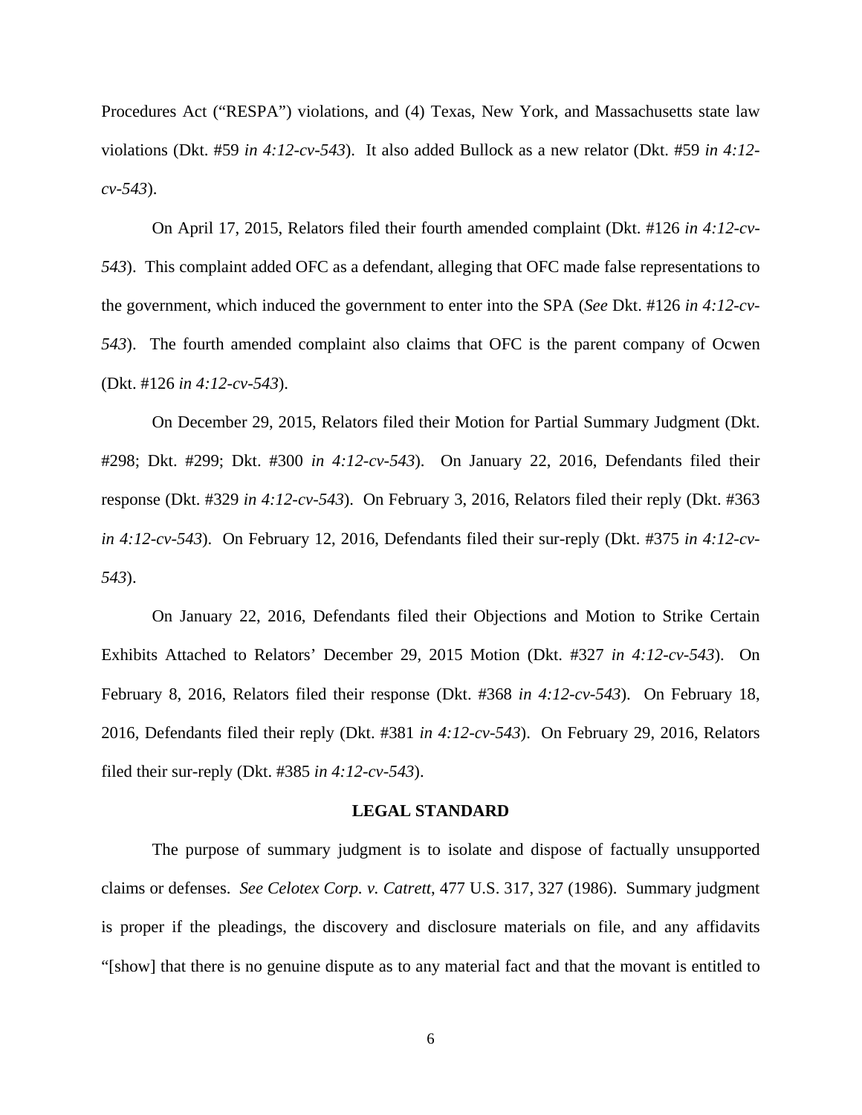Procedures Act ("RESPA") violations, and (4) Texas, New York, and Massachusetts state law violations (Dkt. #59 *in 4:12-cv-543*). It also added Bullock as a new relator (Dkt. #59 *in 4:12 cv-543*).

 On April 17, 2015, Relators filed their fourth amended complaint (Dkt. #126 *in 4:12-cv-543*). This complaint added OFC as a defendant, alleging that OFC made false representations to the government, which induced the government to enter into the SPA (*See* Dkt. #126 *in 4:12-cv-543*). The fourth amended complaint also claims that OFC is the parent company of Ocwen (Dkt. #126 *in 4:12-cv-543*).

On December 29, 2015, Relators filed their Motion for Partial Summary Judgment (Dkt. #298; Dkt. #299; Dkt. #300 *in 4:12-cv-543*). On January 22, 2016, Defendants filed their response (Dkt. #329 *in 4:12-cv-543*). On February 3, 2016, Relators filed their reply (Dkt. #363 *in 4:12-cv-543*). On February 12, 2016, Defendants filed their sur-reply (Dkt. #375 *in 4:12-cv-543*).

On January 22, 2016, Defendants filed their Objections and Motion to Strike Certain Exhibits Attached to Relators' December 29, 2015 Motion (Dkt. #327 *in 4:12-cv-543*). On February 8, 2016, Relators filed their response (Dkt. #368 *in 4:12-cv-543*). On February 18, 2016, Defendants filed their reply (Dkt. #381 *in 4:12-cv-543*). On February 29, 2016, Relators filed their sur-reply (Dkt. #385 *in 4:12-cv-543*).

#### **LEGAL STANDARD**

The purpose of summary judgment is to isolate and dispose of factually unsupported claims or defenses. *See Celotex Corp. v. Catrett*, 477 U.S. 317, 327 (1986). Summary judgment is proper if the pleadings, the discovery and disclosure materials on file, and any affidavits "[show] that there is no genuine dispute as to any material fact and that the movant is entitled to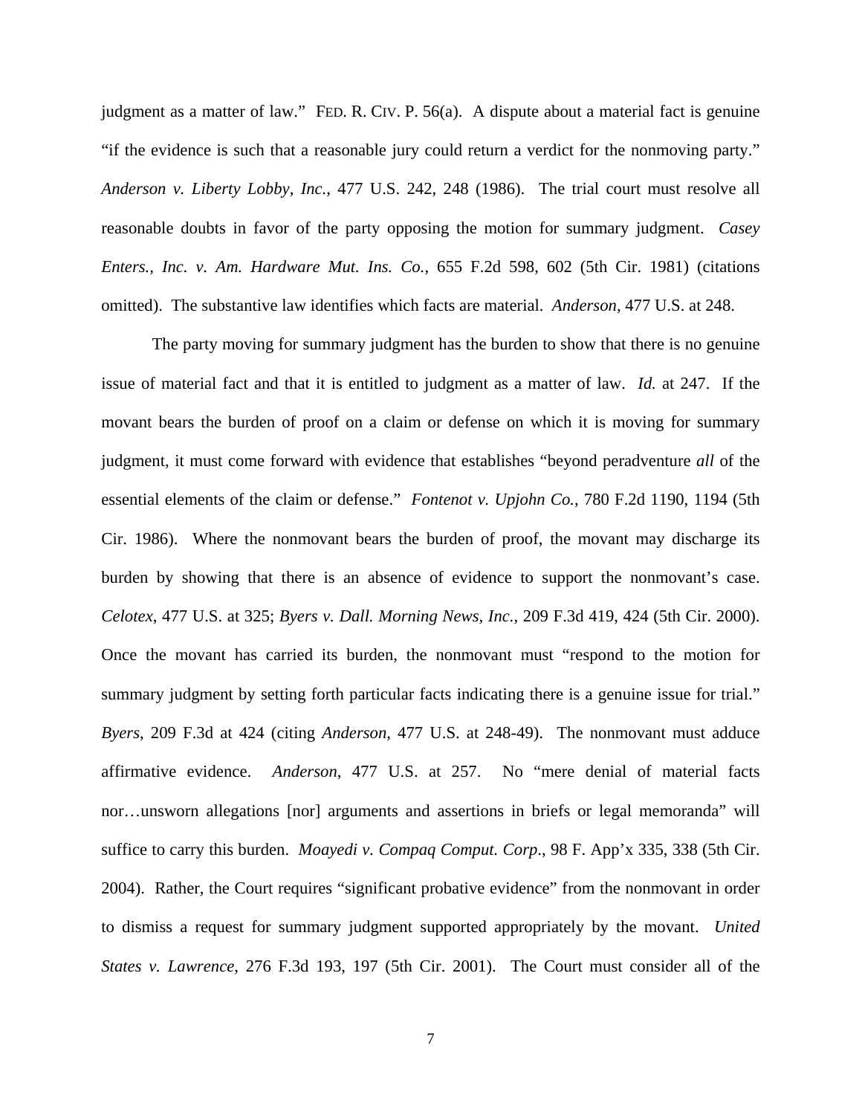judgment as a matter of law." FED. R. CIV. P. 56(a). A dispute about a material fact is genuine "if the evidence is such that a reasonable jury could return a verdict for the nonmoving party." *Anderson v. Liberty Lobby, Inc.*, 477 U.S. 242, 248 (1986). The trial court must resolve all reasonable doubts in favor of the party opposing the motion for summary judgment. *Casey Enters., Inc. v. Am. Hardware Mut. Ins. Co.*, 655 F.2d 598, 602 (5th Cir. 1981) (citations omitted). The substantive law identifies which facts are material. *Anderson*, 477 U.S. at 248.

 The party moving for summary judgment has the burden to show that there is no genuine issue of material fact and that it is entitled to judgment as a matter of law. *Id.* at 247. If the movant bears the burden of proof on a claim or defense on which it is moving for summary judgment, it must come forward with evidence that establishes "beyond peradventure *all* of the essential elements of the claim or defense." *Fontenot v. Upjohn Co.*, 780 F.2d 1190, 1194 (5th Cir. 1986). Where the nonmovant bears the burden of proof, the movant may discharge its burden by showing that there is an absence of evidence to support the nonmovant's case. *Celotex*, 477 U.S. at 325; *Byers v. Dall. Morning News, Inc.*, 209 F.3d 419, 424 (5th Cir. 2000). Once the movant has carried its burden, the nonmovant must "respond to the motion for summary judgment by setting forth particular facts indicating there is a genuine issue for trial." *Byers*, 209 F.3d at 424 (citing *Anderson*, 477 U.S. at 248-49). The nonmovant must adduce affirmative evidence. *Anderson*, 477 U.S. at 257. No "mere denial of material facts nor…unsworn allegations [nor] arguments and assertions in briefs or legal memoranda" will suffice to carry this burden. *Moayedi v. Compaq Comput. Corp*., 98 F. App'x 335, 338 (5th Cir. 2004). Rather, the Court requires "significant probative evidence" from the nonmovant in order to dismiss a request for summary judgment supported appropriately by the movant. *United States v. Lawrence*, 276 F.3d 193, 197 (5th Cir. 2001). The Court must consider all of the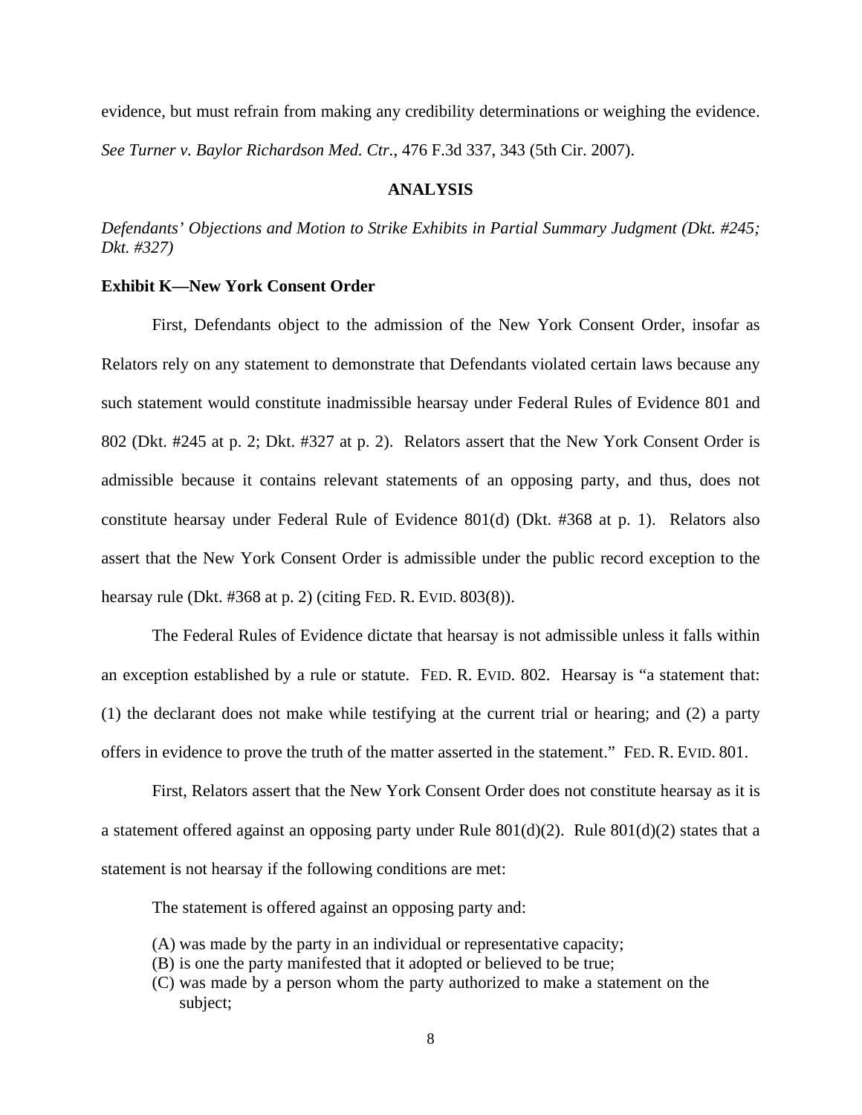evidence, but must refrain from making any credibility determinations or weighing the evidence. *See Turner v. Baylor Richardson Med. Ctr.*, 476 F.3d 337, 343 (5th Cir. 2007).

# **ANALYSIS**

*Defendants' Objections and Motion to Strike Exhibits in Partial Summary Judgment (Dkt. #245; Dkt. #327)* 

#### **Exhibit K—New York Consent Order**

 First, Defendants object to the admission of the New York Consent Order, insofar as Relators rely on any statement to demonstrate that Defendants violated certain laws because any such statement would constitute inadmissible hearsay under Federal Rules of Evidence 801 and 802 (Dkt. #245 at p. 2; Dkt. #327 at p. 2). Relators assert that the New York Consent Order is admissible because it contains relevant statements of an opposing party, and thus, does not constitute hearsay under Federal Rule of Evidence 801(d) (Dkt. #368 at p. 1). Relators also assert that the New York Consent Order is admissible under the public record exception to the hearsay rule (Dkt. #368 at p. 2) (citing FED. R. EVID. 803(8)).

 The Federal Rules of Evidence dictate that hearsay is not admissible unless it falls within an exception established by a rule or statute. FED. R. EVID. 802. Hearsay is "a statement that: (1) the declarant does not make while testifying at the current trial or hearing; and (2) a party offers in evidence to prove the truth of the matter asserted in the statement." FED. R. EVID. 801.

 First, Relators assert that the New York Consent Order does not constitute hearsay as it is a statement offered against an opposing party under Rule 801(d)(2). Rule 801(d)(2) states that a statement is not hearsay if the following conditions are met:

The statement is offered against an opposing party and:

- (A) was made by the party in an individual or representative capacity;
- (B) is one the party manifested that it adopted or believed to be true;
- (C) was made by a person whom the party authorized to make a statement on the subject;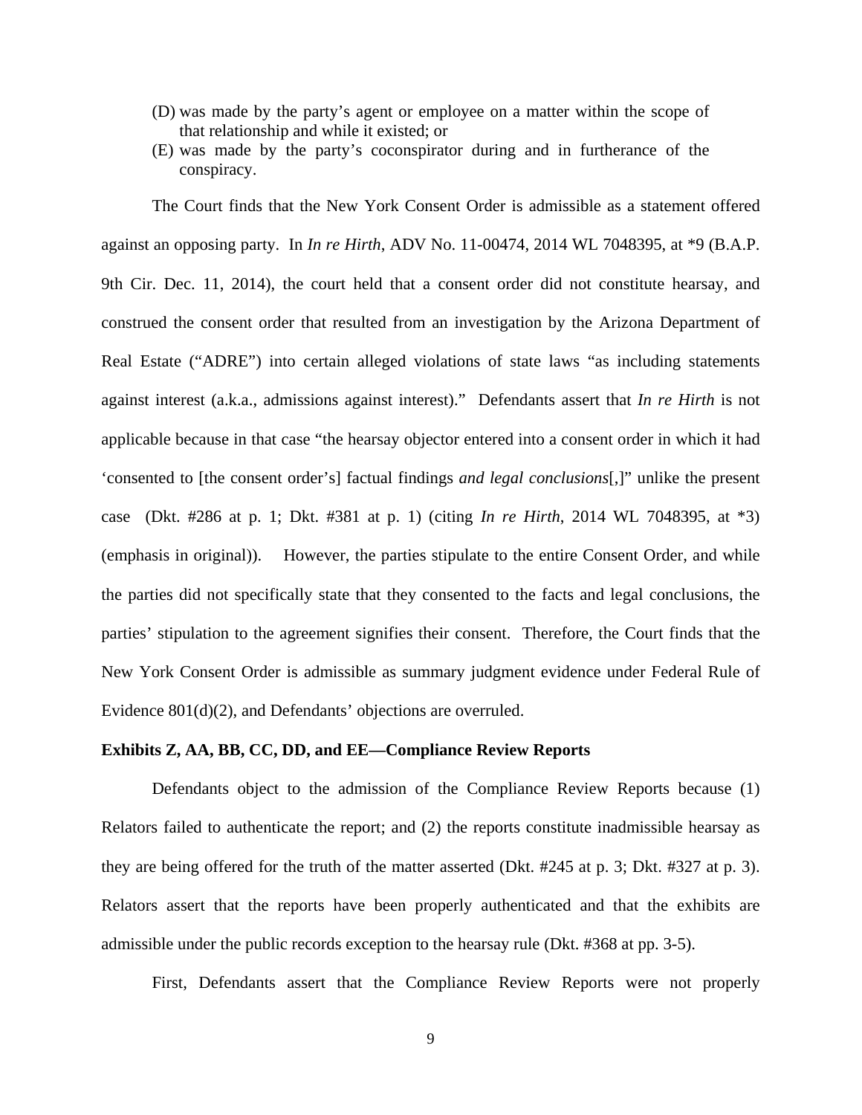- (D) was made by the party's agent or employee on a matter within the scope of that relationship and while it existed; or
- (E) was made by the party's coconspirator during and in furtherance of the conspiracy.

 The Court finds that the New York Consent Order is admissible as a statement offered against an opposing party. In *In re Hirth*, ADV No. 11-00474, 2014 WL 7048395, at \*9 (B.A.P. 9th Cir. Dec. 11, 2014), the court held that a consent order did not constitute hearsay, and construed the consent order that resulted from an investigation by the Arizona Department of Real Estate ("ADRE") into certain alleged violations of state laws "as including statements against interest (a.k.a., admissions against interest)." Defendants assert that *In re Hirth* is not applicable because in that case "the hearsay objector entered into a consent order in which it had 'consented to [the consent order's] factual findings *and legal conclusions*[,]" unlike the present case (Dkt. #286 at p. 1; Dkt. #381 at p. 1) (citing *In re Hirth*, 2014 WL 7048395, at \*3) (emphasis in original)). However, the parties stipulate to the entire Consent Order, and while the parties did not specifically state that they consented to the facts and legal conclusions, the parties' stipulation to the agreement signifies their consent. Therefore, the Court finds that the New York Consent Order is admissible as summary judgment evidence under Federal Rule of Evidence 801(d)(2), and Defendants' objections are overruled.

#### **Exhibits Z, AA, BB, CC, DD, and EE—Compliance Review Reports**

 Defendants object to the admission of the Compliance Review Reports because (1) Relators failed to authenticate the report; and (2) the reports constitute inadmissible hearsay as they are being offered for the truth of the matter asserted (Dkt. #245 at p. 3; Dkt. #327 at p. 3). Relators assert that the reports have been properly authenticated and that the exhibits are admissible under the public records exception to the hearsay rule (Dkt. #368 at pp. 3-5).

First, Defendants assert that the Compliance Review Reports were not properly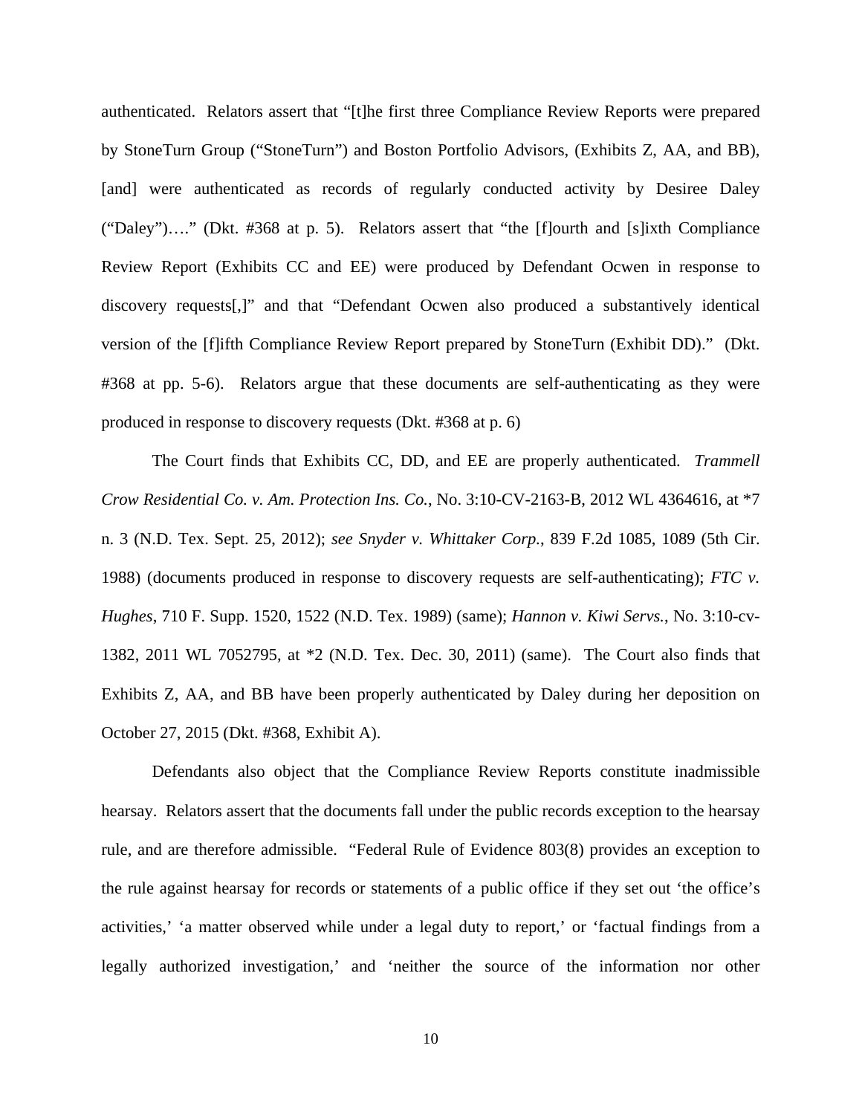authenticated. Relators assert that "[t]he first three Compliance Review Reports were prepared by StoneTurn Group ("StoneTurn") and Boston Portfolio Advisors, (Exhibits Z, AA, and BB), [and] were authenticated as records of regularly conducted activity by Desiree Daley ("Daley")…." (Dkt. #368 at p. 5). Relators assert that "the [f]ourth and [s]ixth Compliance Review Report (Exhibits CC and EE) were produced by Defendant Ocwen in response to discovery requests[,]" and that "Defendant Ocwen also produced a substantively identical version of the [f]ifth Compliance Review Report prepared by StoneTurn (Exhibit DD)." (Dkt. #368 at pp. 5-6). Relators argue that these documents are self-authenticating as they were produced in response to discovery requests (Dkt. #368 at p. 6)

 The Court finds that Exhibits CC, DD, and EE are properly authenticated. *Trammell Crow Residential Co. v. Am. Protection Ins. Co.*, No. 3:10-CV-2163-B, 2012 WL 4364616, at \*7 n. 3 (N.D. Tex. Sept. 25, 2012); *see Snyder v. Whittaker Corp.*, 839 F.2d 1085, 1089 (5th Cir. 1988) (documents produced in response to discovery requests are self-authenticating); *FTC v. Hughes*, 710 F. Supp. 1520, 1522 (N.D. Tex. 1989) (same); *Hannon v. Kiwi Servs.*, No. 3:10-cv-1382, 2011 WL 7052795, at \*2 (N.D. Tex. Dec. 30, 2011) (same). The Court also finds that Exhibits Z, AA, and BB have been properly authenticated by Daley during her deposition on October 27, 2015 (Dkt. #368, Exhibit A).

Defendants also object that the Compliance Review Reports constitute inadmissible hearsay. Relators assert that the documents fall under the public records exception to the hearsay rule, and are therefore admissible. "Federal Rule of Evidence 803(8) provides an exception to the rule against hearsay for records or statements of a public office if they set out 'the office's activities,' 'a matter observed while under a legal duty to report,' or 'factual findings from a legally authorized investigation,' and 'neither the source of the information nor other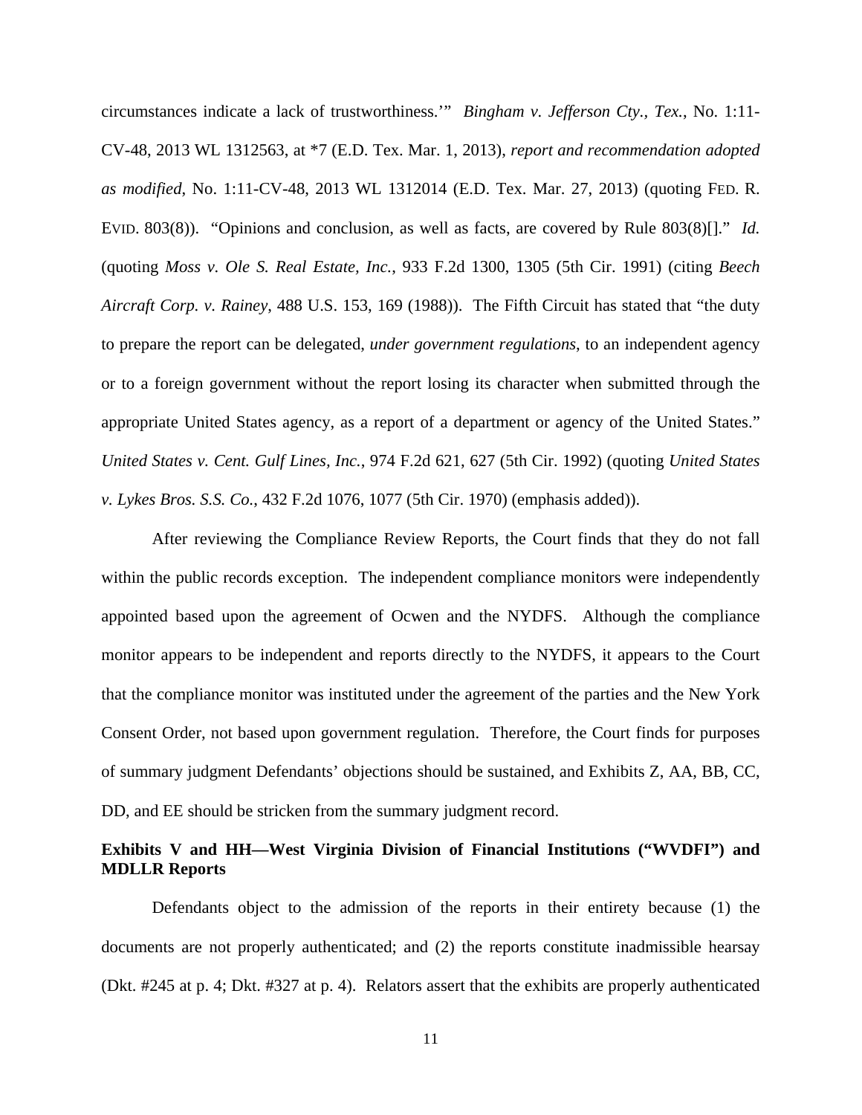circumstances indicate a lack of trustworthiness.'" *Bingham v. Jefferson Cty., Tex.*, No. 1:11- CV-48, 2013 WL 1312563, at \*7 (E.D. Tex. Mar. 1, 2013), *report and recommendation adopted as modified*, No. 1:11-CV-48, 2013 WL 1312014 (E.D. Tex. Mar. 27, 2013) (quoting FED. R. EVID. 803(8)). "Opinions and conclusion, as well as facts, are covered by Rule 803(8)[]." *Id.* (quoting *Moss v. Ole S. Real Estate, Inc.*, 933 F.2d 1300, 1305 (5th Cir. 1991) (citing *Beech Aircraft Corp. v. Rainey*, 488 U.S. 153, 169 (1988)). The Fifth Circuit has stated that "the duty to prepare the report can be delegated, *under government regulations*, to an independent agency or to a foreign government without the report losing its character when submitted through the appropriate United States agency, as a report of a department or agency of the United States." *United States v. Cent. Gulf Lines, Inc.*, 974 F.2d 621, 627 (5th Cir. 1992) (quoting *United States v. Lykes Bros. S.S. Co.*, 432 F.2d 1076, 1077 (5th Cir. 1970) (emphasis added)).

After reviewing the Compliance Review Reports, the Court finds that they do not fall within the public records exception. The independent compliance monitors were independently appointed based upon the agreement of Ocwen and the NYDFS. Although the compliance monitor appears to be independent and reports directly to the NYDFS, it appears to the Court that the compliance monitor was instituted under the agreement of the parties and the New York Consent Order, not based upon government regulation. Therefore, the Court finds for purposes of summary judgment Defendants' objections should be sustained, and Exhibits Z, AA, BB, CC, DD, and EE should be stricken from the summary judgment record.

# **Exhibits V and HH—West Virginia Division of Financial Institutions ("WVDFI") and MDLLR Reports**

 Defendants object to the admission of the reports in their entirety because (1) the documents are not properly authenticated; and (2) the reports constitute inadmissible hearsay (Dkt. #245 at p. 4; Dkt. #327 at p. 4). Relators assert that the exhibits are properly authenticated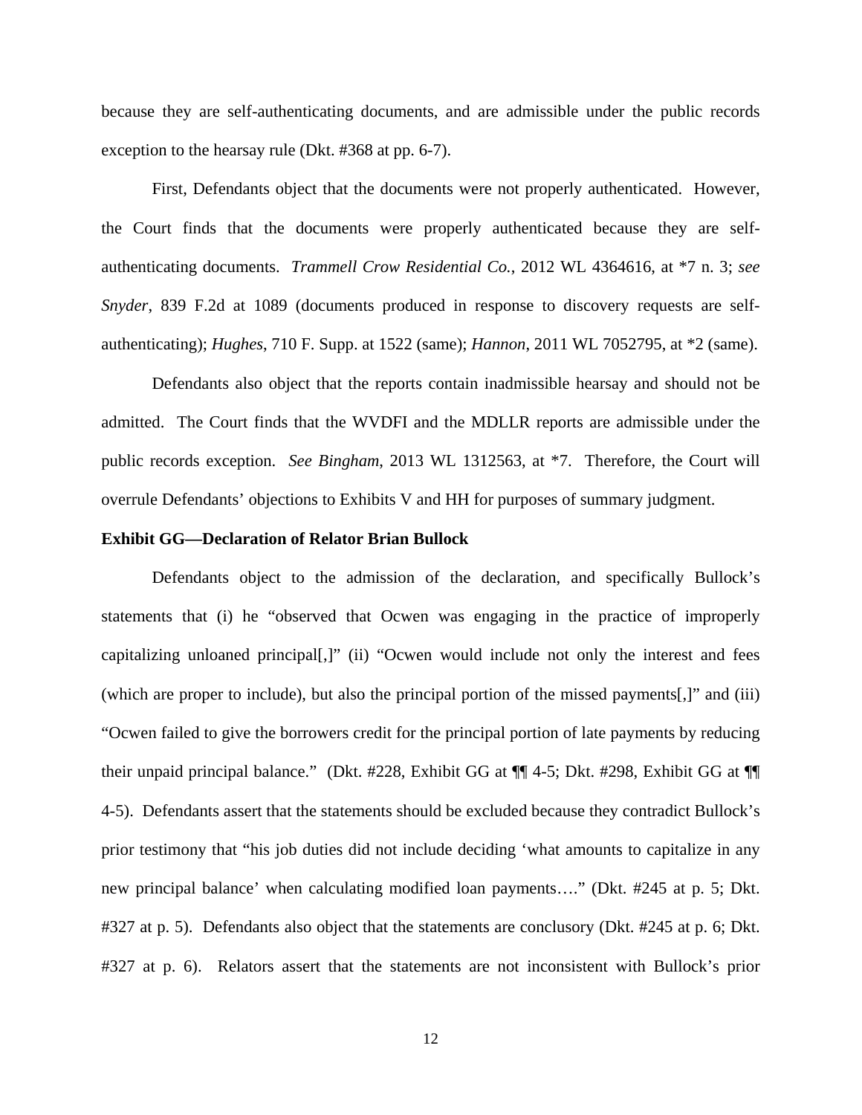because they are self-authenticating documents, and are admissible under the public records exception to the hearsay rule (Dkt. #368 at pp. 6-7).

 First, Defendants object that the documents were not properly authenticated. However, the Court finds that the documents were properly authenticated because they are selfauthenticating documents. *Trammell Crow Residential Co.*, 2012 WL 4364616, at \*7 n. 3; *see Snyder*, 839 F.2d at 1089 (documents produced in response to discovery requests are selfauthenticating); *Hughes*, 710 F. Supp. at 1522 (same); *Hannon*, 2011 WL 7052795, at \*2 (same).

 Defendants also object that the reports contain inadmissible hearsay and should not be admitted. The Court finds that the WVDFI and the MDLLR reports are admissible under the public records exception. *See Bingham*, 2013 WL 1312563, at \*7. Therefore, the Court will overrule Defendants' objections to Exhibits V and HH for purposes of summary judgment.

#### **Exhibit GG—Declaration of Relator Brian Bullock**

 Defendants object to the admission of the declaration, and specifically Bullock's statements that (i) he "observed that Ocwen was engaging in the practice of improperly capitalizing unloaned principal[,]" (ii) "Ocwen would include not only the interest and fees (which are proper to include), but also the principal portion of the missed payments[,]" and (iii) "Ocwen failed to give the borrowers credit for the principal portion of late payments by reducing their unpaid principal balance." (Dkt. #228, Exhibit GG at ¶¶ 4-5; Dkt. #298, Exhibit GG at ¶¶ 4-5). Defendants assert that the statements should be excluded because they contradict Bullock's prior testimony that "his job duties did not include deciding 'what amounts to capitalize in any new principal balance' when calculating modified loan payments…." (Dkt. #245 at p. 5; Dkt. #327 at p. 5). Defendants also object that the statements are conclusory (Dkt. #245 at p. 6; Dkt. #327 at p. 6). Relators assert that the statements are not inconsistent with Bullock's prior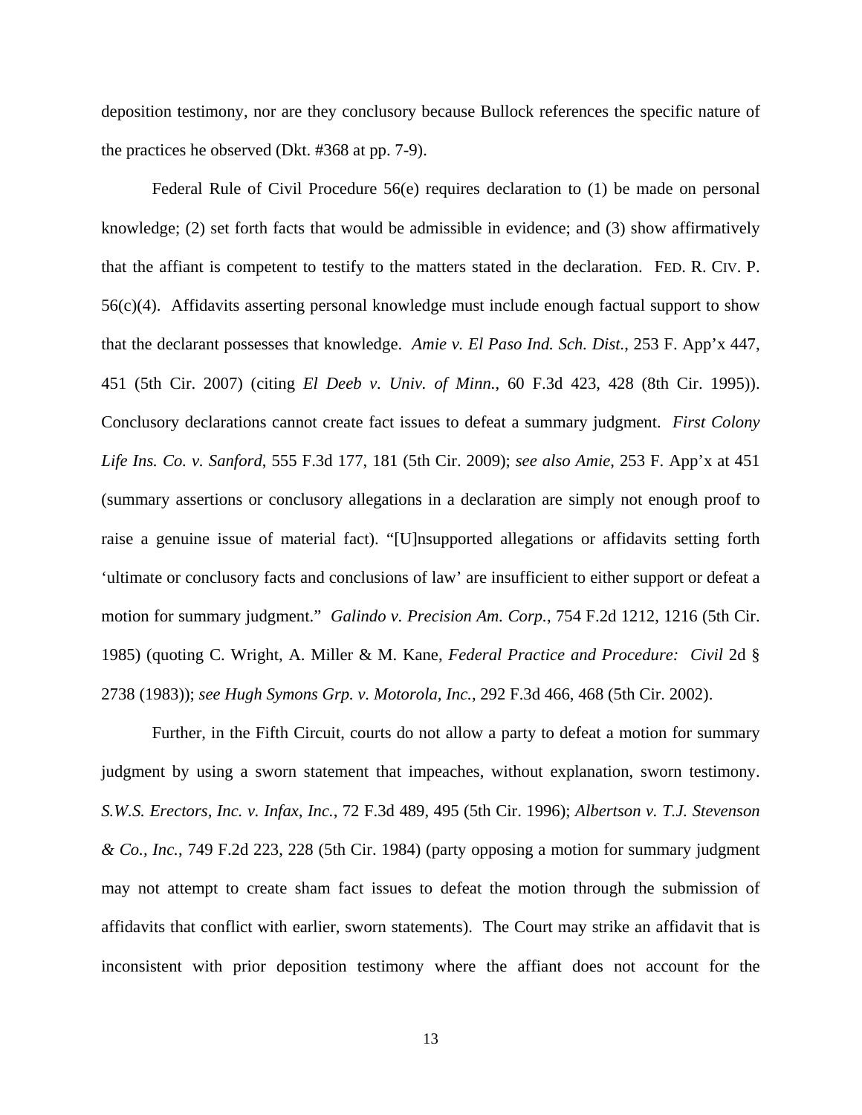deposition testimony, nor are they conclusory because Bullock references the specific nature of the practices he observed (Dkt. #368 at pp. 7-9).

 Federal Rule of Civil Procedure 56(e) requires declaration to (1) be made on personal knowledge; (2) set forth facts that would be admissible in evidence; and (3) show affirmatively that the affiant is competent to testify to the matters stated in the declaration. FED. R. CIV. P. 56(c)(4). Affidavits asserting personal knowledge must include enough factual support to show that the declarant possesses that knowledge. *Amie v. El Paso Ind. Sch. Dist.*, 253 F. App'x 447, 451 (5th Cir. 2007) (citing *El Deeb v. Univ. of Minn.*, 60 F.3d 423, 428 (8th Cir. 1995)). Conclusory declarations cannot create fact issues to defeat a summary judgment. *First Colony Life Ins. Co. v. Sanford*, 555 F.3d 177, 181 (5th Cir. 2009); *see also Amie*, 253 F. App'x at 451 (summary assertions or conclusory allegations in a declaration are simply not enough proof to raise a genuine issue of material fact). "[U]nsupported allegations or affidavits setting forth 'ultimate or conclusory facts and conclusions of law' are insufficient to either support or defeat a motion for summary judgment." *Galindo v. Precision Am. Corp.*, 754 F.2d 1212, 1216 (5th Cir. 1985) (quoting C. Wright, A. Miller & M. Kane, *Federal Practice and Procedure: Civil* 2d § 2738 (1983)); *see Hugh Symons Grp. v. Motorola, Inc.*, 292 F.3d 466, 468 (5th Cir. 2002).

 Further, in the Fifth Circuit, courts do not allow a party to defeat a motion for summary judgment by using a sworn statement that impeaches, without explanation, sworn testimony. *S.W.S. Erectors, Inc. v. Infax, Inc.*, 72 F.3d 489, 495 (5th Cir. 1996); *Albertson v. T.J. Stevenson & Co., Inc.*, 749 F.2d 223, 228 (5th Cir. 1984) (party opposing a motion for summary judgment may not attempt to create sham fact issues to defeat the motion through the submission of affidavits that conflict with earlier, sworn statements). The Court may strike an affidavit that is inconsistent with prior deposition testimony where the affiant does not account for the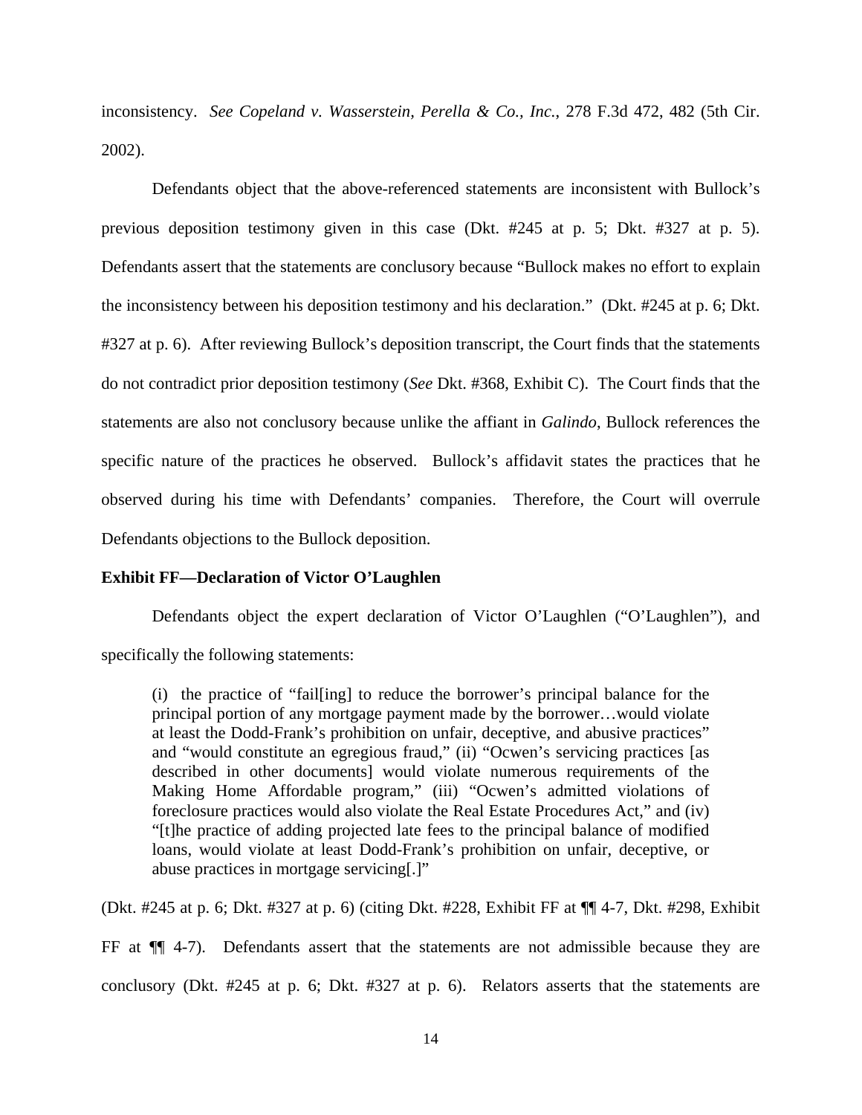inconsistency. *See Copeland v. Wasserstein, Perella & Co., Inc.*, 278 F.3d 472, 482 (5th Cir. 2002).

 Defendants object that the above-referenced statements are inconsistent with Bullock's previous deposition testimony given in this case (Dkt. #245 at p. 5; Dkt. #327 at p. 5). Defendants assert that the statements are conclusory because "Bullock makes no effort to explain the inconsistency between his deposition testimony and his declaration." (Dkt. #245 at p. 6; Dkt. #327 at p. 6). After reviewing Bullock's deposition transcript, the Court finds that the statements do not contradict prior deposition testimony (*See* Dkt. #368, Exhibit C). The Court finds that the statements are also not conclusory because unlike the affiant in *Galindo*, Bullock references the specific nature of the practices he observed. Bullock's affidavit states the practices that he observed during his time with Defendants' companies. Therefore, the Court will overrule Defendants objections to the Bullock deposition.

#### **Exhibit FF—Declaration of Victor O'Laughlen**

 Defendants object the expert declaration of Victor O'Laughlen ("O'Laughlen"), and specifically the following statements:

(i) the practice of "fail[ing] to reduce the borrower's principal balance for the principal portion of any mortgage payment made by the borrower…would violate at least the Dodd-Frank's prohibition on unfair, deceptive, and abusive practices" and "would constitute an egregious fraud," (ii) "Ocwen's servicing practices [as described in other documents] would violate numerous requirements of the Making Home Affordable program," (iii) "Ocwen's admitted violations of foreclosure practices would also violate the Real Estate Procedures Act," and (iv) "[t]he practice of adding projected late fees to the principal balance of modified loans, would violate at least Dodd-Frank's prohibition on unfair, deceptive, or abuse practices in mortgage servicing[.]"

(Dkt. #245 at p. 6; Dkt. #327 at p. 6) (citing Dkt. #228, Exhibit FF at ¶¶ 4-7, Dkt. #298, Exhibit

FF at ¶¶ 4-7). Defendants assert that the statements are not admissible because they are conclusory (Dkt. #245 at p. 6; Dkt. #327 at p. 6). Relators asserts that the statements are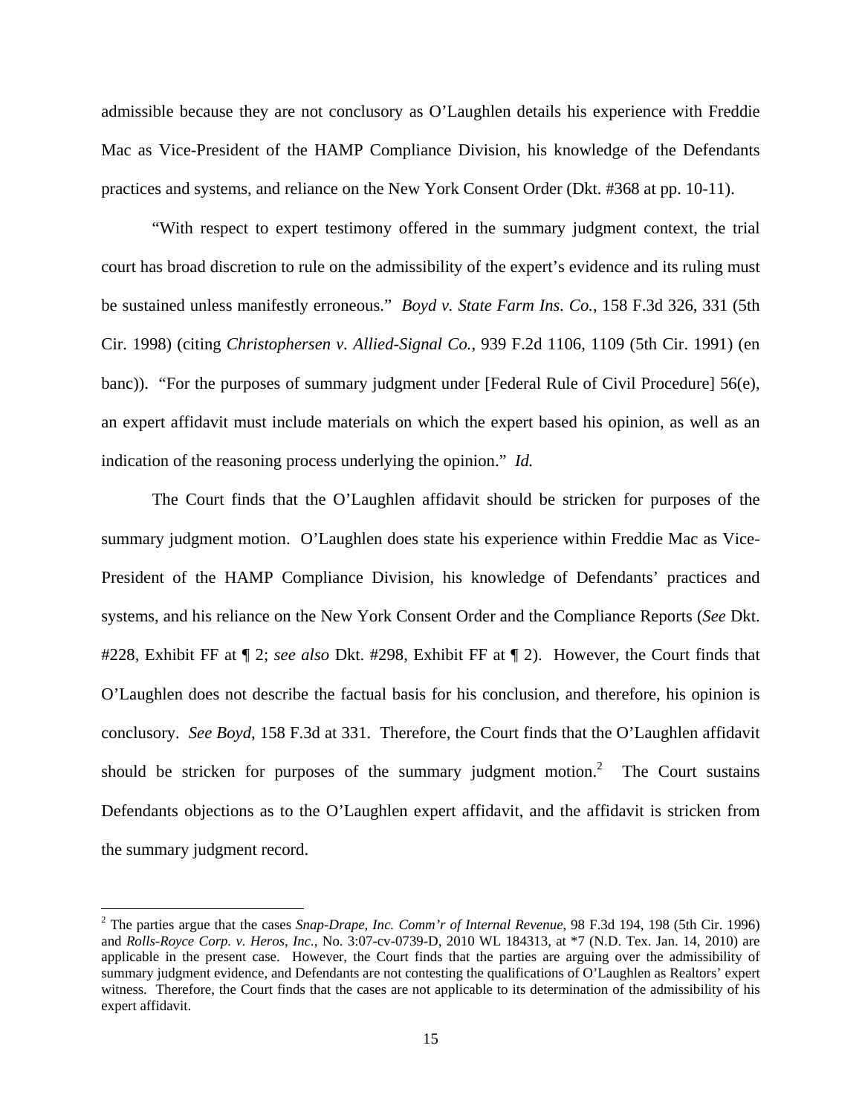admissible because they are not conclusory as O'Laughlen details his experience with Freddie Mac as Vice-President of the HAMP Compliance Division, his knowledge of the Defendants practices and systems, and reliance on the New York Consent Order (Dkt. #368 at pp. 10-11).

 "With respect to expert testimony offered in the summary judgment context, the trial court has broad discretion to rule on the admissibility of the expert's evidence and its ruling must be sustained unless manifestly erroneous." *Boyd v. State Farm Ins. Co.*, 158 F.3d 326, 331 (5th Cir. 1998) (citing *Christophersen v. Allied-Signal Co.*, 939 F.2d 1106, 1109 (5th Cir. 1991) (en banc)). "For the purposes of summary judgment under [Federal Rule of Civil Procedure] 56(e), an expert affidavit must include materials on which the expert based his opinion, as well as an indication of the reasoning process underlying the opinion." *Id.*

 The Court finds that the O'Laughlen affidavit should be stricken for purposes of the summary judgment motion. O'Laughlen does state his experience within Freddie Mac as Vice-President of the HAMP Compliance Division, his knowledge of Defendants' practices and systems, and his reliance on the New York Consent Order and the Compliance Reports (*See* Dkt. #228, Exhibit FF at ¶ 2; *see also* Dkt. #298, Exhibit FF at ¶ 2). However, the Court finds that O'Laughlen does not describe the factual basis for his conclusion, and therefore, his opinion is conclusory. *See Boyd*, 158 F.3d at 331. Therefore, the Court finds that the O'Laughlen affidavit should be stricken for purposes of the summary judgment motion.<sup>2</sup> The Court sustains Defendants objections as to the O'Laughlen expert affidavit, and the affidavit is stricken from the summary judgment record.

 $\overline{\phantom{0}}$ 

<sup>2</sup> The parties argue that the cases *Snap-Drape, Inc. Comm'r of Internal Revenue*, 98 F.3d 194, 198 (5th Cir. 1996) and *Rolls-Royce Corp. v. Heros, Inc.*, No. 3:07-cv-0739-D, 2010 WL 184313, at \*7 (N.D. Tex. Jan. 14, 2010) are applicable in the present case. However, the Court finds that the parties are arguing over the admissibility of summary judgment evidence, and Defendants are not contesting the qualifications of O'Laughlen as Realtors' expert witness. Therefore, the Court finds that the cases are not applicable to its determination of the admissibility of his expert affidavit.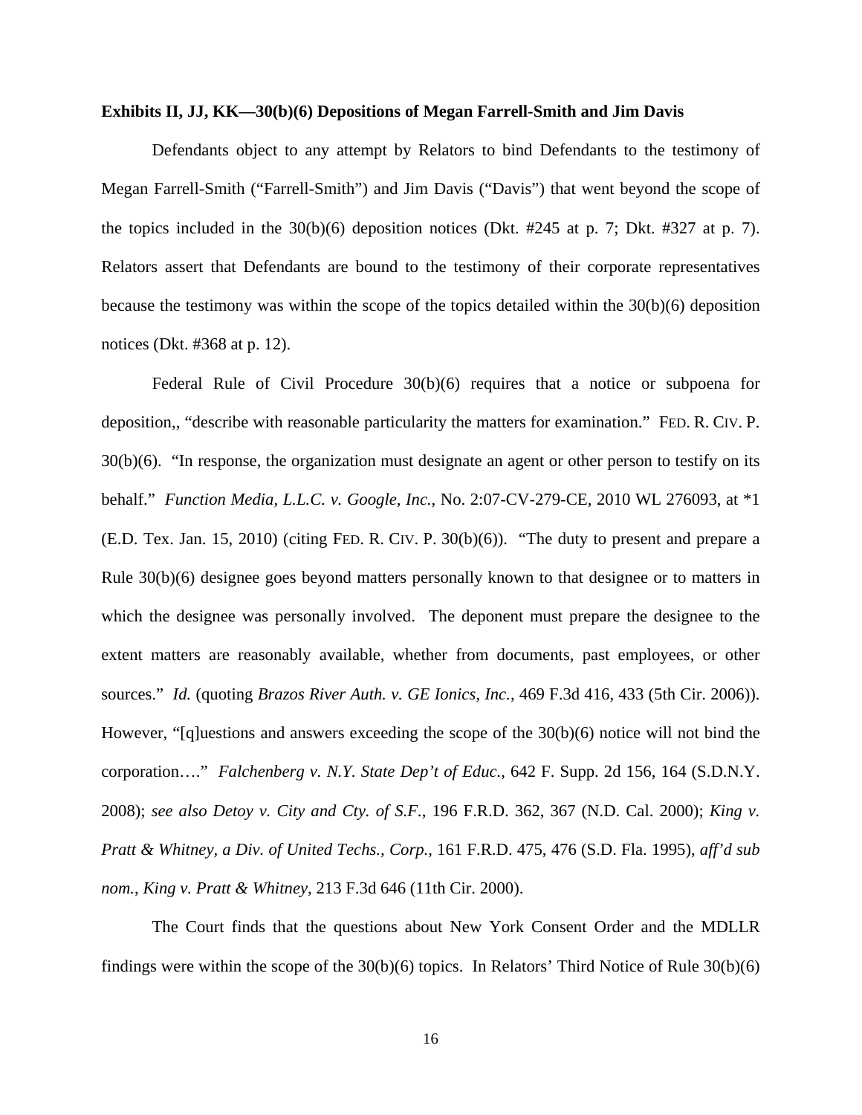#### **Exhibits II, JJ, KK—30(b)(6) Depositions of Megan Farrell-Smith and Jim Davis**

 Defendants object to any attempt by Relators to bind Defendants to the testimony of Megan Farrell-Smith ("Farrell-Smith") and Jim Davis ("Davis") that went beyond the scope of the topics included in the 30(b)(6) deposition notices (Dkt. #245 at p. 7; Dkt. #327 at p. 7). Relators assert that Defendants are bound to the testimony of their corporate representatives because the testimony was within the scope of the topics detailed within the 30(b)(6) deposition notices (Dkt. #368 at p. 12).

 Federal Rule of Civil Procedure 30(b)(6) requires that a notice or subpoena for deposition,, "describe with reasonable particularity the matters for examination." FED. R. CIV. P. 30(b)(6). "In response, the organization must designate an agent or other person to testify on its behalf." *Function Media, L.L.C. v. Google, Inc.*, No. 2:07-CV-279-CE, 2010 WL 276093, at \*1 (E.D. Tex. Jan. 15, 2010) (citing FED. R. CIV. P. 30(b)(6)). "The duty to present and prepare a Rule 30(b)(6) designee goes beyond matters personally known to that designee or to matters in which the designee was personally involved. The deponent must prepare the designee to the extent matters are reasonably available, whether from documents, past employees, or other sources." *Id.* (quoting *Brazos River Auth. v. GE Ionics, Inc.*, 469 F.3d 416, 433 (5th Cir. 2006)). However, "[q]uestions and answers exceeding the scope of the  $30(b)(6)$  notice will not bind the corporation…." *Falchenberg v. N.Y. State Dep't of Educ.*, 642 F. Supp. 2d 156, 164 (S.D.N.Y. 2008); *see also Detoy v. City and Cty. of S.F.*, 196 F.R.D. 362, 367 (N.D. Cal. 2000); *King v. Pratt & Whitney, a Div. of United Techs., Corp.*, 161 F.R.D. 475, 476 (S.D. Fla. 1995), *aff'd sub nom.*, *King v. Pratt & Whitney*, 213 F.3d 646 (11th Cir. 2000).

 The Court finds that the questions about New York Consent Order and the MDLLR findings were within the scope of the 30(b)(6) topics. In Relators' Third Notice of Rule 30(b)(6)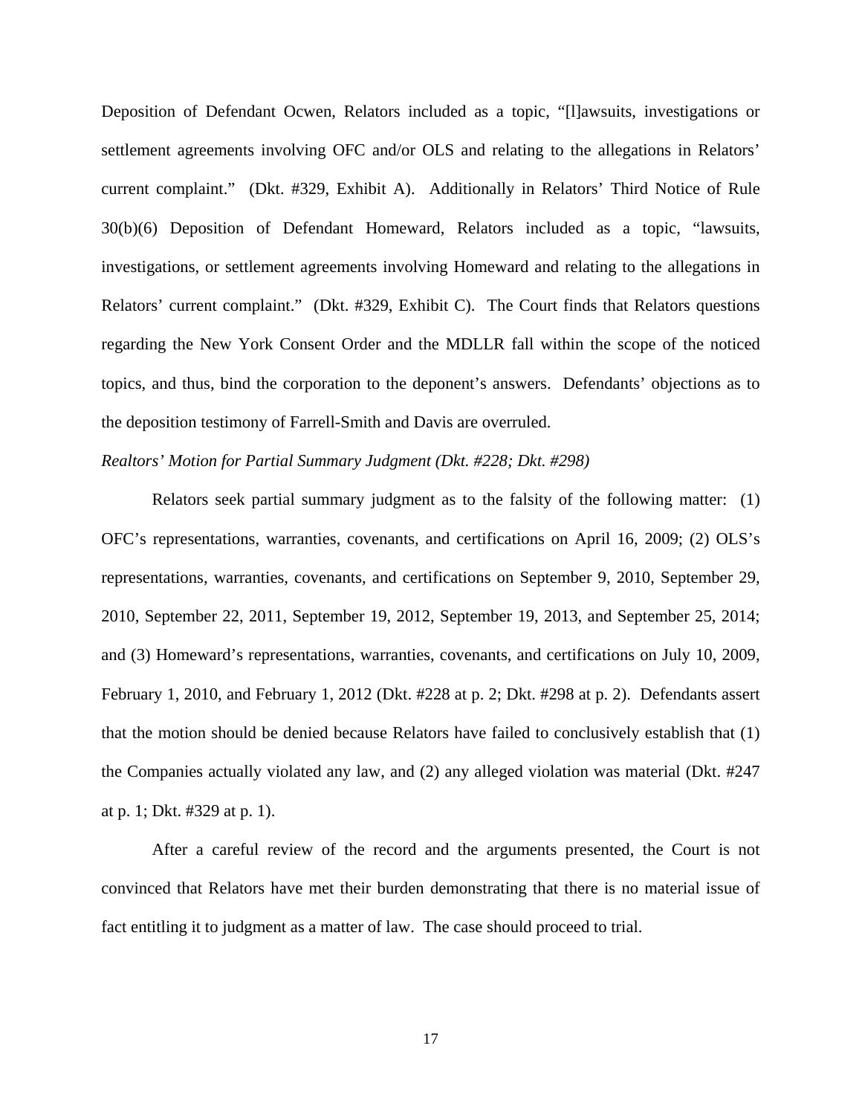Deposition of Defendant Ocwen, Relators included as a topic, "[l]awsuits, investigations or settlement agreements involving OFC and/or OLS and relating to the allegations in Relators' current complaint." (Dkt. #329, Exhibit A). Additionally in Relators' Third Notice of Rule 30(b)(6) Deposition of Defendant Homeward, Relators included as a topic, "lawsuits, investigations, or settlement agreements involving Homeward and relating to the allegations in Relators' current complaint." (Dkt. #329, Exhibit C). The Court finds that Relators questions regarding the New York Consent Order and the MDLLR fall within the scope of the noticed topics, and thus, bind the corporation to the deponent's answers. Defendants' objections as to the deposition testimony of Farrell-Smith and Davis are overruled.

## *Realtors' Motion for Partial Summary Judgment (Dkt. #228; Dkt. #298)*

 Relators seek partial summary judgment as to the falsity of the following matter: (1) OFC's representations, warranties, covenants, and certifications on April 16, 2009; (2) OLS's representations, warranties, covenants, and certifications on September 9, 2010, September 29, 2010, September 22, 2011, September 19, 2012, September 19, 2013, and September 25, 2014; and (3) Homeward's representations, warranties, covenants, and certifications on July 10, 2009, February 1, 2010, and February 1, 2012 (Dkt. #228 at p. 2; Dkt. #298 at p. 2). Defendants assert that the motion should be denied because Relators have failed to conclusively establish that (1) the Companies actually violated any law, and (2) any alleged violation was material (Dkt. #247 at p. 1; Dkt. #329 at p. 1).

 After a careful review of the record and the arguments presented, the Court is not convinced that Relators have met their burden demonstrating that there is no material issue of fact entitling it to judgment as a matter of law. The case should proceed to trial.